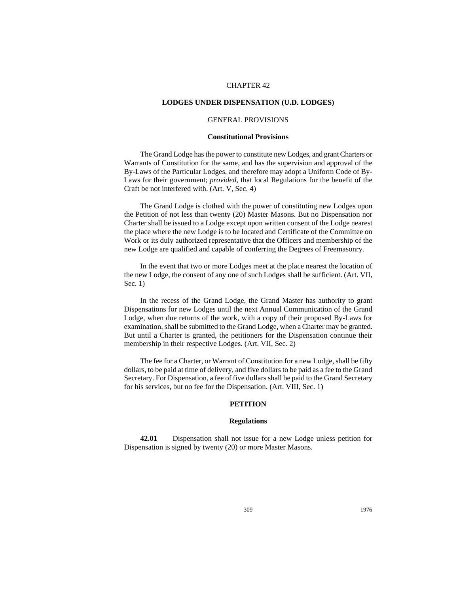# CHAPTER 42

# **LODGES UNDER DISPENSATION (U.D. LODGES)**

# GENERAL PROVISIONS

### **Constitutional Provisions**

The Grand Lodge has the power to constitute new Lodges, and grant Charters or Warrants of Constitution for the same, and has the supervision and approval of the By-Laws of the Particular Lodges, and therefore may adopt a Uniform Code of By-Laws for their government; *provided,* that local Regulations for the benefit of the Craft be not interfered with. (Art. V, Sec. 4)

The Grand Lodge is clothed with the power of constituting new Lodges upon the Petition of not less than twenty (20) Master Masons. But no Dispensation nor Charter shall be issued to a Lodge except upon written consent of the Lodge nearest the place where the new Lodge is to be located and Certificate of the Committee on Work or its duly authorized representative that the Officers and membership of the new Lodge are qualified and capable of conferring the Degrees of Freemasonry.

In the event that two or more Lodges meet at the place nearest the location of the new Lodge, the consent of any one of such Lodges shall be sufficient. (Art. VII, Sec. 1)

In the recess of the Grand Lodge, the Grand Master has authority to grant Dispensations for new Lodges until the next Annual Communication of the Grand Lodge, when due returns of the work, with a copy of their proposed By-Laws for examination, shall be submitted to the Grand Lodge, when a Charter may be granted. But until a Charter is granted, the petitioners for the Dispensation continue their membership in their respective Lodges. (Art. VII, Sec. 2)

The fee for a Charter, or Warrant of Constitution for a new Lodge, shall be fifty dollars, to be paid at time of delivery, and five dollars to be paid as a fee to the Grand Secretary. For Dispensation, a fee of five dollars shall be paid to the Grand Secretary for his services, but no fee for the Dispensation. (Art. VIII, Sec. 1)

# **PETITION**

#### **Regulations**

**42.01** Dispensation shall not issue for a new Lodge unless petition for Dispensation is signed by twenty (20) or more Master Masons.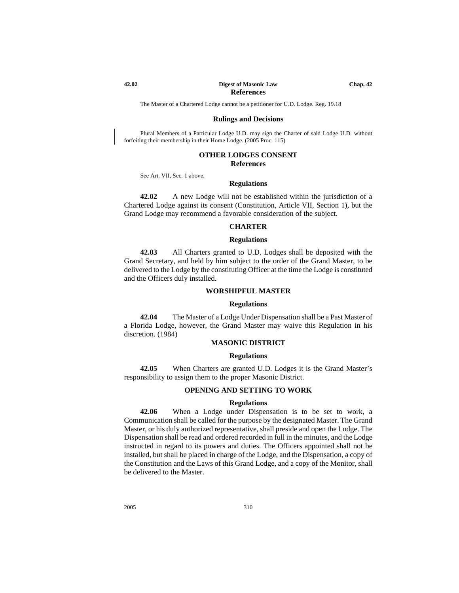## **42.02 Digest of Masonic Law Chap. 42 References**

The Master of a Chartered Lodge cannot be a petitioner for U.D. Lodge. Reg. 19.18

#### **Rulings and Decisions**

Plural Members of a Particular Lodge U.D. may sign the Charter of said Lodge U.D. without forfeiting their membership in their Home Lodge. (2005 Proc. 115)

## **OTHER LODGES CONSENT References**

See Art. VII, Sec. 1 above.

#### **Regulations**

**42.02** A new Lodge will not be established within the jurisdiction of a Chartered Lodge against its consent (Constitution, Article VII, Section 1), but the Grand Lodge may recommend a favorable consideration of the subject.

#### **CHARTER**

## **Regulations**

**42.03** All Charters granted to U.D. Lodges shall be deposited with the Grand Secretary, and held by him subject to the order of the Grand Master, to be delivered to the Lodge by the constituting Officer at the time the Lodge is constituted and the Officers duly installed.

## **WORSHIPFUL MASTER**

## **Regulations**

**42.04** The Master of a Lodge Under Dispensation shall be a Past Master of a Florida Lodge, however, the Grand Master may waive this Regulation in his discretion. (1984)

## **MASONIC DISTRICT**

#### **Regulations**

**42.05** When Charters are granted U.D. Lodges it is the Grand Master's responsibility to assign them to the proper Masonic District.

#### **OPENING AND SETTING TO WORK**

#### **Regulations**

**42.06** When a Lodge under Dispensation is to be set to work, a Communication shall be called for the purpose by the designated Master. The Grand Master, or his duly authorized representative, shall preside and open the Lodge. The Dispensation shall be read and ordered recorded in full in the minutes, and the Lodge instructed in regard to its powers and duties. The Officers appointed shall not be installed, but shall be placed in charge of the Lodge, and the Dispensation, a copy of the Constitution and the Laws of this Grand Lodge, and a copy of the Monitor, shall be delivered to the Master.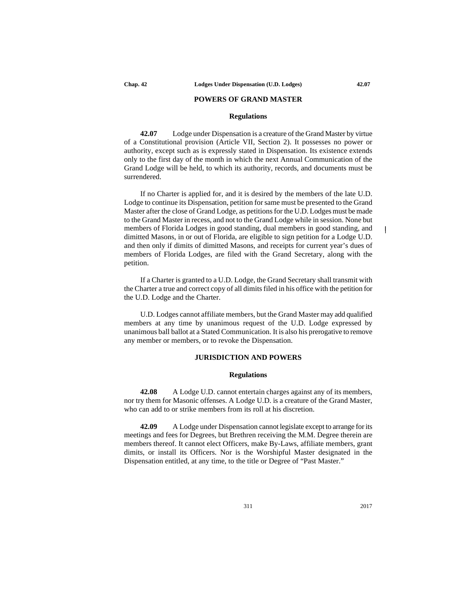# **POWERS OF GRAND MASTER**

## **Regulations**

**42.07** Lodge under Dispensation is a creature of the Grand Master by virtue of a Constitutional provision (Article VII, Section 2). It possesses no power or authority, except such as is expressly stated in Dispensation. Its existence extends only to the first day of the month in which the next Annual Communication of the Grand Lodge will be held, to which its authority, records, and documents must be surrendered.

If no Charter is applied for, and it is desired by the members of the late U.D. Lodge to continue its Dispensation, petition for same must be presented to the Grand Master after the close of Grand Lodge, as petitions for the U.D. Lodges must be made to the Grand Master in recess, and not to the Grand Lodge while in session. None but members of Florida Lodges in good standing, dual members in good standing, and dimitted Masons, in or out of Florida, are eligible to sign petition for a Lodge U.D. and then only if dimits of dimitted Masons, and receipts for current year's dues of members of Florida Lodges, are filed with the Grand Secretary, along with the petition.

If a Charter is granted to a U.D. Lodge, the Grand Secretary shall transmit with the Charter a true and correct copy of all dimits filed in his office with the petition for the U.D. Lodge and the Charter.

U.D. Lodges cannot affiliate members, but the Grand Master may add qualified members at any time by unanimous request of the U.D. Lodge expressed by unanimous ball ballot at a Stated Communication. It is also his prerogative to remove any member or members, or to revoke the Dispensation.

## **JURISDICTION AND POWERS**

## **Regulations**

**42.08** A Lodge U.D. cannot entertain charges against any of its members, nor try them for Masonic offenses. A Lodge U.D. is a creature of the Grand Master, who can add to or strike members from its roll at his discretion.

**42.09** A Lodge under Dispensation cannot legislate except to arrange for its meetings and fees for Degrees, but Brethren receiving the M.M. Degree therein are members thereof. It cannot elect Officers, make By-Laws, affiliate members, grant dimits, or install its Officers. Nor is the Worshipful Master designated in the Dispensation entitled, at any time, to the title or Degree of "Past Master."

 $\overline{1}$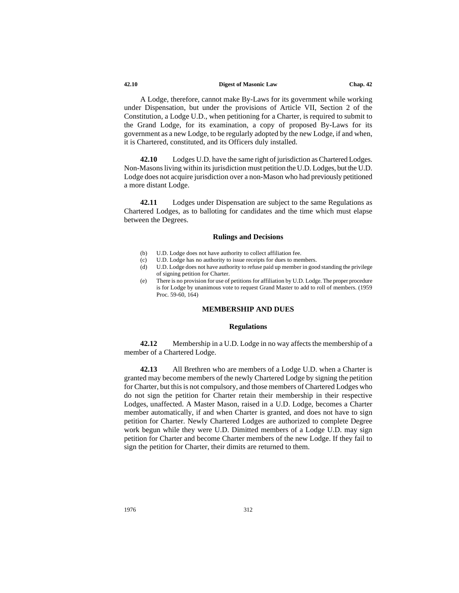#### **42.10 Digest of Masonic Law Chap. 42**

A Lodge, therefore, cannot make By-Laws for its government while working under Dispensation, but under the provisions of Article VII, Section 2 of the Constitution, a Lodge U.D., when petitioning for a Charter, is required to submit to the Grand Lodge, for its examination, a copy of proposed By-Laws for its government as a new Lodge, to be regularly adopted by the new Lodge, if and when, it is Chartered, constituted, and its Officers duly installed.

**42.10** Lodges U.D. have the same right of jurisdiction as Chartered Lodges. Non-Masons living within its jurisdiction must petition the U.D. Lodges, but the U.D. Lodge does not acquire jurisdiction over a non-Mason who had previously petitioned a more distant Lodge.

**42.11** Lodges under Dispensation are subject to the same Regulations as Chartered Lodges, as to balloting for candidates and the time which must elapse between the Degrees.

#### **Rulings and Decisions**

- (b) U.D. Lodge does not have authority to collect affiliation fee.
- (c) U.D. Lodge has no authority to issue receipts for dues to members.
- (d) U.D. Lodge does not have authority to refuse paid up member in good standing the privilege of signing petition for Charter.
- (e) There is no provision for use of petitions for affiliation by U.D. Lodge. The proper procedure is for Lodge by unanimous vote to request Grand Master to add to roll of members. (1959 Proc. 59-60, 164)

# **MEMBERSHIP AND DUES**

#### **Regulations**

**42.12** Membership in a U.D. Lodge in no way affects the membership of a member of a Chartered Lodge.

**42.13** All Brethren who are members of a Lodge U.D. when a Charter is granted may become members of the newly Chartered Lodge by signing the petition for Charter, but this is not compulsory, and those members of Chartered Lodges who do not sign the petition for Charter retain their membership in their respective Lodges, unaffected. A Master Mason, raised in a U.D. Lodge, becomes a Charter member automatically, if and when Charter is granted, and does not have to sign petition for Charter. Newly Chartered Lodges are authorized to complete Degree work begun while they were U.D. Dimitted members of a Lodge U.D. may sign petition for Charter and become Charter members of the new Lodge. If they fail to sign the petition for Charter, their dimits are returned to them.